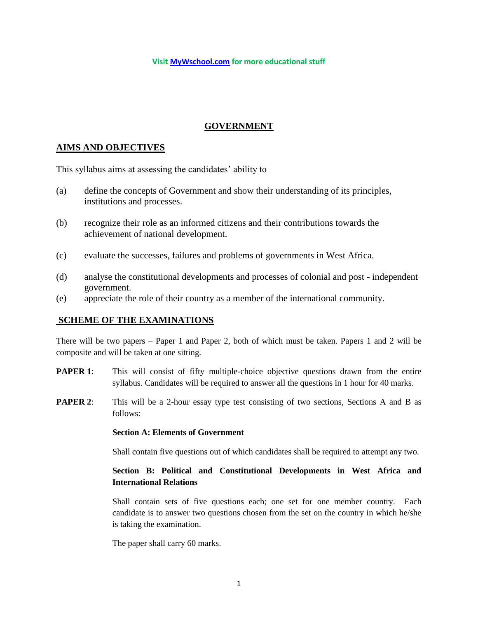#### **Visit [MyWschool.com](https://www.mywschool.com/) for more educational stuff**

## **GOVERNMENT**

### **AIMS AND OBJECTIVES**

This syllabus aims at assessing the candidates' ability to

- (a) define the concepts of Government and show their understanding of its principles, institutions and processes.
- (b) recognize their role as an informed citizens and their contributions towards the achievement of national development.
- (c) evaluate the successes, failures and problems of governments in West Africa.
- (d) analyse the constitutional developments and processes of colonial and post independent government.
- (e) appreciate the role of their country as a member of the international community.

### **SCHEME OF THE EXAMINATIONS**

There will be two papers – Paper 1 and Paper 2, both of which must be taken. Papers 1 and 2 will be composite and will be taken at one sitting.

- **PAPER 1:** This will consist of fifty multiple-choice objective questions drawn from the entire syllabus. Candidates will be required to answer all the questions in 1 hour for 40 marks.
- **PAPER 2:** This will be a 2-hour essay type test consisting of two sections, Sections A and B as follows:

#### **Section A: Elements of Government**

Shall contain five questions out of which candidates shall be required to attempt any two.

### **Section B: Political and Constitutional Developments in West Africa and International Relations**

Shall contain sets of five questions each; one set for one member country. Each candidate is to answer two questions chosen from the set on the country in which he/she is taking the examination.

The paper shall carry 60 marks.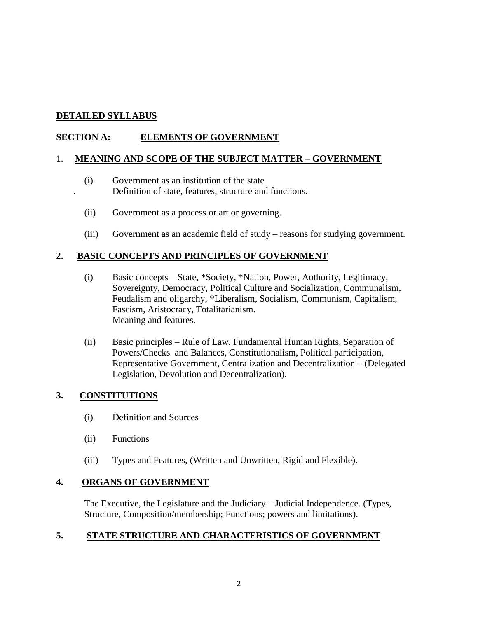## **DETAILED SYLLABUS**

## **SECTION A: ELEMENTS OF GOVERNMENT**

### 1. **MEANING AND SCOPE OF THE SUBJECT MATTER – GOVERNMENT**

- (i) Government as an institution of the state . Definition of state, features, structure and functions.
	- (ii) Government as a process or art or governing.
	- (iii) Government as an academic field of study reasons for studying government.

### **2. BASIC CONCEPTS AND PRINCIPLES OF GOVERNMENT**

- (i) Basic concepts State, \*Society, \*Nation, Power, Authority, Legitimacy, Sovereignty, Democracy, Political Culture and Socialization, Communalism, Feudalism and oligarchy, \*Liberalism, Socialism, Communism, Capitalism, Fascism, Aristocracy, Totalitarianism. Meaning and features.
- (ii) Basic principles Rule of Law, Fundamental Human Rights, Separation of Powers/Checks and Balances, Constitutionalism, Political participation, Representative Government, Centralization and Decentralization – (Delegated Legislation, Devolution and Decentralization).

## **3. CONSTITUTIONS**

- (i) Definition and Sources
- (ii) Functions
- (iii) Types and Features, (Written and Unwritten, Rigid and Flexible).

### **4. ORGANS OF GOVERNMENT**

The Executive, the Legislature and the Judiciary – Judicial Independence. (Types, Structure, Composition/membership; Functions; powers and limitations).

## **5. STATE STRUCTURE AND CHARACTERISTICS OF GOVERNMENT**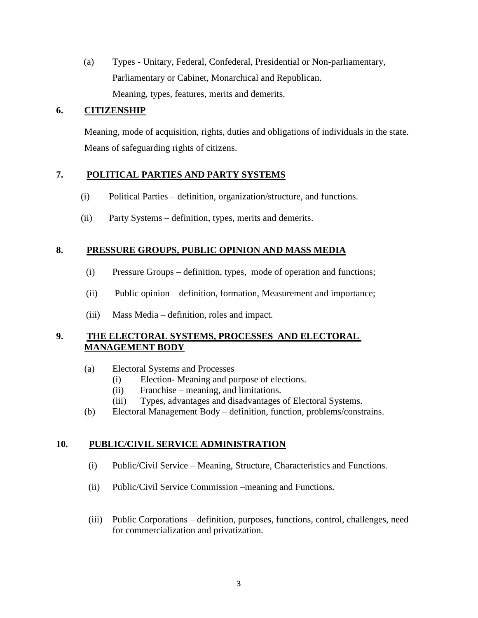(a) Types - Unitary, Federal, Confederal, Presidential or Non-parliamentary, Parliamentary or Cabinet, Monarchical and Republican. Meaning, types, features, merits and demerits.

## **6. CITIZENSHIP**

Meaning, mode of acquisition, rights, duties and obligations of individuals in the state. Means of safeguarding rights of citizens.

## **7. POLITICAL PARTIES AND PARTY SYSTEMS**

- (i) Political Parties definition, organization/structure, and functions.
- (ii) Party Systems definition, types, merits and demerits.

## **8. PRESSURE GROUPS, PUBLIC OPINION AND MASS MEDIA**

- (i) Pressure Groups definition, types, mode of operation and functions;
- (ii) Public opinion definition, formation, Measurement and importance;
- (iii) Mass Media definition, roles and impact.

## **9. THE ELECTORAL SYSTEMS, PROCESSES AND ELECTORAL MANAGEMENT BODY**

- (a) Electoral Systems and Processes
	- (i) Election- Meaning and purpose of elections.
	- (ii) Franchise meaning, and limitations.
	- (iii) Types, advantages and disadvantages of Electoral Systems.
- (b) Electoral Management Body definition, function, problems/constrains.

# **10. PUBLIC/CIVIL SERVICE ADMINISTRATION**

- (i) Public/Civil Service Meaning, Structure, Characteristics and Functions.
- (ii) Public/Civil Service Commission –meaning and Functions.
- (iii) Public Corporations definition, purposes, functions, control, challenges, need for commercialization and privatization.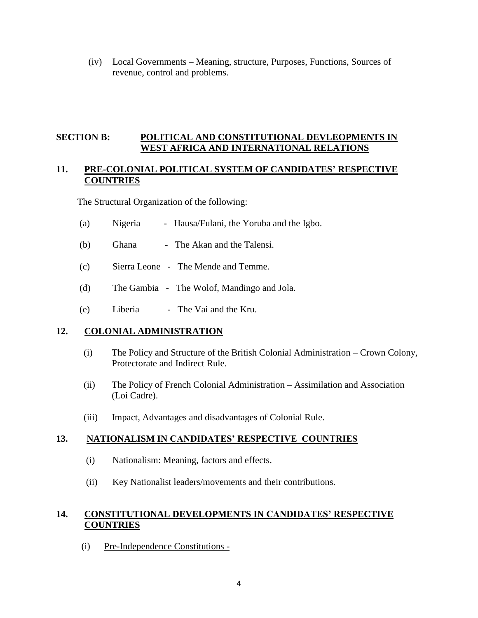(iv) Local Governments – Meaning, structure, Purposes, Functions, Sources of revenue, control and problems.

### **SECTION B: POLITICAL AND CONSTITUTIONAL DEVLEOPMENTS IN WEST AFRICA AND INTERNATIONAL RELATIONS**

### **11. PRE-COLONIAL POLITICAL SYSTEM OF CANDIDATES' RESPECTIVE COUNTRIES**

The Structural Organization of the following:

- (a) Nigeria Hausa/Fulani, the Yoruba and the Igbo.
- (b) Ghana The Akan and the Talensi.
- (c) Sierra Leone The Mende and Temme.
- (d) The Gambia The Wolof, Mandingo and Jola.
- (e) Liberia The Vai and the Kru.

### **12. COLONIAL ADMINISTRATION**

- (i) The Policy and Structure of the British Colonial Administration Crown Colony, Protectorate and Indirect Rule.
- (ii) The Policy of French Colonial Administration Assimilation and Association (Loi Cadre).
- (iii) Impact, Advantages and disadvantages of Colonial Rule.

### **13. NATIONALISM IN CANDIDATES' RESPECTIVE COUNTRIES**

- (i) Nationalism: Meaning, factors and effects.
- (ii) Key Nationalist leaders/movements and their contributions.

### **14. CONSTITUTIONAL DEVELOPMENTS IN CANDIDATES' RESPECTIVE COUNTRIES**

(i) Pre-Independence Constitutions -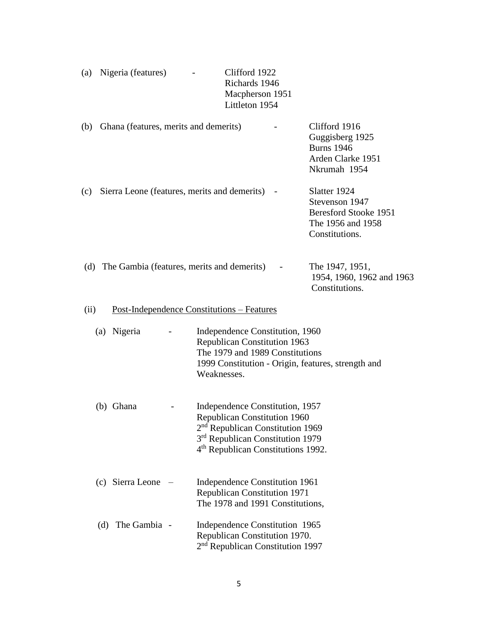|  | (a) Nigeria (features) | Clifford 1922   |
|--|------------------------|-----------------|
|  |                        | Richards 1946   |
|  |                        | Macpherson 1951 |
|  |                        | Littleton 1954  |
|  |                        |                 |

| (b) | Ghana (features, merits and demerits)          | Clifford 1916<br>Guggisberg 1925<br><b>Burns</b> 1946<br>Arden Clarke 1951<br>Nkrumah 1954 |
|-----|------------------------------------------------|--------------------------------------------------------------------------------------------|
| (c) | Sierra Leone (features, merits and demerits) - | Slatter 1924<br>Stevenson 1947<br>Beresford Stooke 1951<br>The 1956 and 1958               |

|  | (d) The Gambia (features, merits and demerits) - | The 1947, 1951,           |
|--|--------------------------------------------------|---------------------------|
|  |                                                  | 1954, 1960, 1962 and 1963 |
|  |                                                  | Constitutions.            |
|  |                                                  |                           |

Constitutions.

### (ii) Post-Independence Constitutions – Features

| (a) Nigeria | Independence Constitution, 1960                    |
|-------------|----------------------------------------------------|
|             | <b>Republican Constitution 1963</b>                |
|             | The 1979 and 1989 Constitutions                    |
|             | 1999 Constitution - Origin, features, strength and |
|             | Weaknesses.                                        |

| (b) Ghana | Independence Constitution, 1957                |
|-----------|------------------------------------------------|
|           | <b>Republican Constitution 1960</b>            |
|           | $2nd$ Republican Constitution 1969             |
|           | 3 <sup>rd</sup> Republican Constitution 1979   |
|           | 4 <sup>th</sup> Republican Constitutions 1992. |

- (c) Sierra Leone Independence Constitution 1961 Republican Constitution 1971 The 1978 and 1991 Constitutions,
- (d) The Gambia Independence Constitution 1965 Republican Constitution 1970. 2<sup>nd</sup> Republican Constitution 1997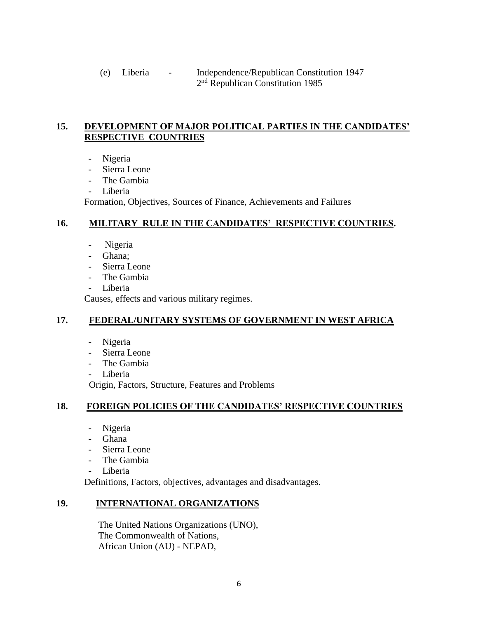(e) Liberia - Independence/Republican Constitution 1947 2 2<sup>nd</sup> Republican Constitution 1985

## **15. DEVELOPMENT OF MAJOR POLITICAL PARTIES IN THE CANDIDATES' RESPECTIVE COUNTRIES**

- Nigeria
- Sierra Leone
- The Gambia
- Liberia

Formation, Objectives, Sources of Finance, Achievements and Failures

## **16. MILITARY RULE IN THE CANDIDATES' RESPECTIVE COUNTRIES.**

- Nigeria
- Ghana;
- Sierra Leone
- The Gambia
- Liberia

Causes, effects and various military regimes.

# **17. FEDERAL/UNITARY SYSTEMS OF GOVERNMENT IN WEST AFRICA**

- Nigeria
- Sierra Leone
- The Gambia
- Liberia

Origin, Factors, Structure, Features and Problems

# **18. FOREIGN POLICIES OF THE CANDIDATES' RESPECTIVE COUNTRIES**

- Nigeria
- Ghana
- Sierra Leone
- The Gambia
- Liberia

Definitions, Factors, objectives, advantages and disadvantages.

# **19. INTERNATIONAL ORGANIZATIONS**

 The United Nations Organizations (UNO), The Commonwealth of Nations, African Union (AU) - NEPAD,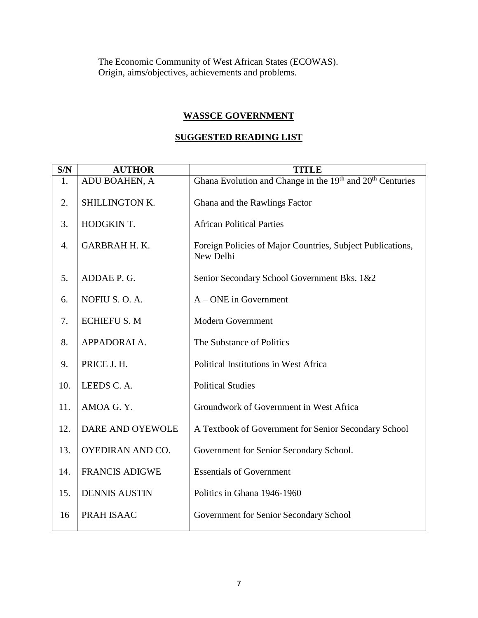The Economic Community of West African States (ECOWAS). Origin, aims/objectives, achievements and problems.

### **WASSCE GOVERNMENT**

# **SUGGESTED READING LIST**

| S/N | <b>AUTHOR</b>         | <b>TITLE</b>                                                                      |
|-----|-----------------------|-----------------------------------------------------------------------------------|
| 1.  | ADU BOAHEN, A         | Ghana Evolution and Change in the 19 <sup>th</sup> and 20 <sup>th</sup> Centuries |
| 2.  | SHILLINGTON K.        | Ghana and the Rawlings Factor                                                     |
| 3.  | HODGKIN T.            | <b>African Political Parties</b>                                                  |
| 4.  | <b>GARBRAH H. K.</b>  | Foreign Policies of Major Countries, Subject Publications,<br>New Delhi           |
| 5.  | ADDAE P. G.           | Senior Secondary School Government Bks. 1&2                                       |
| 6.  | NOFIU S.O.A.          | $A - ONE$ in Government                                                           |
| 7.  | <b>ECHIEFU S. M</b>   | <b>Modern Government</b>                                                          |
| 8.  | APPADORAI A.          | The Substance of Politics                                                         |
| 9.  | PRICE J. H.           | Political Institutions in West Africa                                             |
| 10. | LEEDS C.A.            | <b>Political Studies</b>                                                          |
| 11. | AMOA G.Y.             | Groundwork of Government in West Africa                                           |
| 12. | DARE AND OYEWOLE      | A Textbook of Government for Senior Secondary School                              |
| 13. | OYEDIRAN AND CO.      | Government for Senior Secondary School.                                           |
| 14. | <b>FRANCIS ADIGWE</b> | <b>Essentials of Government</b>                                                   |
| 15. | <b>DENNIS AUSTIN</b>  | Politics in Ghana 1946-1960                                                       |
| 16  | PRAH ISAAC            | Government for Senior Secondary School                                            |
|     |                       |                                                                                   |